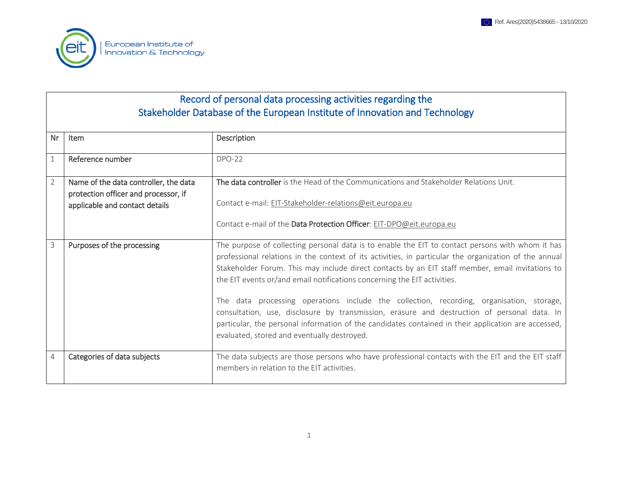

## Record of personal data processing activities regarding the Stakeholder Database of the European Institute of Innovation and Technology

| Nr             | Item                                                                                                            | Description                                                                                                                                                                                                                                                                                                                                                                               |
|----------------|-----------------------------------------------------------------------------------------------------------------|-------------------------------------------------------------------------------------------------------------------------------------------------------------------------------------------------------------------------------------------------------------------------------------------------------------------------------------------------------------------------------------------|
|                | Reference number                                                                                                | <b>DPO-22</b>                                                                                                                                                                                                                                                                                                                                                                             |
| $\overline{2}$ | Name of the data controller, the data<br>protection officer and processor, if<br>applicable and contact details | The data controller is the Head of the Communications and Stakeholder Relations Unit.<br>Contact e-mail: EIT-Stakeholder-relations@eit.europa.eu                                                                                                                                                                                                                                          |
|                |                                                                                                                 | Contact e-mail of the Data Protection Officer: EIT-DPO@eit.europa.eu                                                                                                                                                                                                                                                                                                                      |
| 3              | Purposes of the processing                                                                                      | The purpose of collecting personal data is to enable the EIT to contact persons with whom it has<br>professional relations in the context of its activities, in particular the organization of the annual<br>Stakeholder Forum. This may include direct contacts by an EIT staff member, email invitations to<br>the EIT events or/and email notifications concerning the EIT activities. |
|                |                                                                                                                 | The data processing operations include the collection, recording, organisation, storage,<br>consultation, use, disclosure by transmission, erasure and destruction of personal data. In<br>particular, the personal information of the candidates contained in their application are accessed,<br>evaluated, stored and eventually destroyed.                                             |
| 4              | Categories of data subjects                                                                                     | The data subjects are those persons who have professional contacts with the EIT and the EIT staff<br>members in relation to the EIT activities.                                                                                                                                                                                                                                           |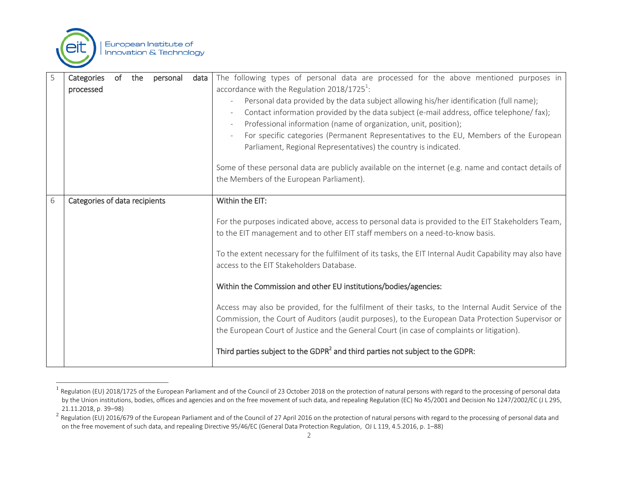

| 5 | of<br>Categories<br>the<br>personal<br>data<br>processed | The following types of personal data are processed for the above mentioned purposes in<br>accordance with the Regulation $2018/1725^1$ :<br>Personal data provided by the data subject allowing his/her identification (full name);<br>Contact information provided by the data subject (e-mail address, office telephone/ fax);<br>Professional information (name of organization, unit, position); |
|---|----------------------------------------------------------|------------------------------------------------------------------------------------------------------------------------------------------------------------------------------------------------------------------------------------------------------------------------------------------------------------------------------------------------------------------------------------------------------|
|   |                                                          | For specific categories (Permanent Representatives to the EU, Members of the European<br>Parliament, Regional Representatives) the country is indicated.                                                                                                                                                                                                                                             |
|   |                                                          | Some of these personal data are publicly available on the internet (e.g. name and contact details of<br>the Members of the European Parliament).                                                                                                                                                                                                                                                     |
| 6 | Categories of data recipients                            | Within the EIT:                                                                                                                                                                                                                                                                                                                                                                                      |
|   |                                                          | For the purposes indicated above, access to personal data is provided to the EIT Stakeholders Team,<br>to the EIT management and to other EIT staff members on a need-to-know basis.                                                                                                                                                                                                                 |
|   |                                                          | To the extent necessary for the fulfilment of its tasks, the EIT Internal Audit Capability may also have<br>access to the EIT Stakeholders Database.                                                                                                                                                                                                                                                 |
|   |                                                          | Within the Commission and other EU institutions/bodies/agencies:                                                                                                                                                                                                                                                                                                                                     |
|   |                                                          | Access may also be provided, for the fulfilment of their tasks, to the Internal Audit Service of the<br>Commission, the Court of Auditors (audit purposes), to the European Data Protection Supervisor or<br>the European Court of Justice and the General Court (in case of complaints or litigation).                                                                                              |
|   |                                                          | Third parties subject to the GDPR <sup>2</sup> and third parties not subject to the GDPR:                                                                                                                                                                                                                                                                                                            |

 1 Regulation (EU) 2018/1725 of the European Parliament and of the Council of 23 October 2018 on the protection of natural persons with regard to the processing of personal data by the Union institutions, bodies, offices and agencies and on the free movement of such data, and repealing Regulation (EC) No 45/2001 and Decision No 1247/2002/EC (J L 295, 21.11.2018, p. 39–98)

 $^2$  Regulation (EU) 2016/679 of the European Parliament and of the Council of 27 April 2016 on the protection of natural persons with regard to the processing of personal data and on the free movement of such data, and repealing Directive 95/46/EC (General Data Protection Regulation, OJ L 119, 4.5.2016, p. 1–88)